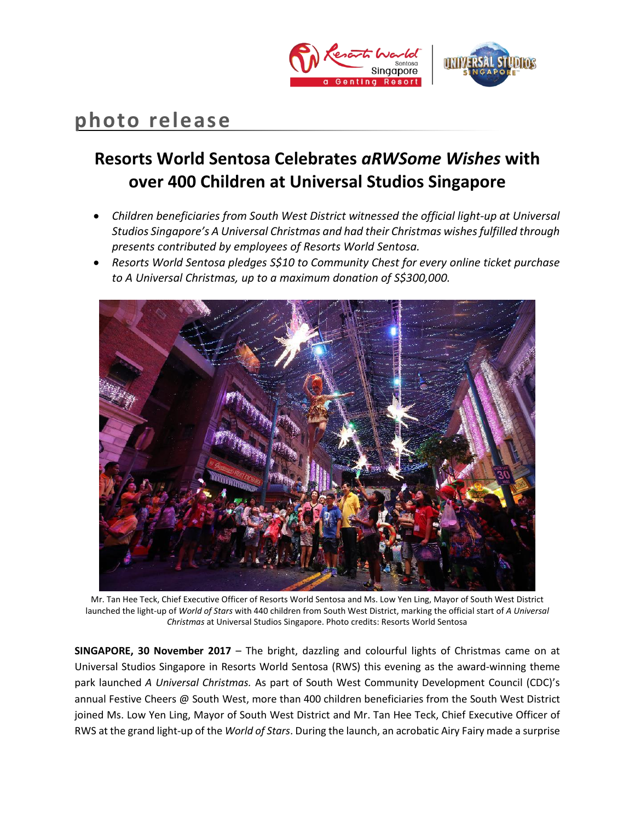

# **photo release**

## **Resorts World Sentosa Celebrates** *aRWSome Wishes* **with over 400 Children at Universal Studios Singapore**

- *Children beneficiaries from South West District witnessed the official light-up at Universal Studios Singapore's A Universal Christmas and had their Christmas wishesfulfilled through presents contributed by employees of Resorts World Sentosa.*
- *Resorts World Sentosa pledges S\$10 to Community Chest for every online ticket purchase to A Universal Christmas, up to a maximum donation of S\$300,000.*



Mr. Tan Hee Teck, Chief Executive Officer of Resorts World Sentosa and Ms. Low Yen Ling, Mayor of South West District launched the light-up of *World of Stars* with 440 children from South West District, marking the official start of *A Universal Christmas* at Universal Studios Singapore. Photo credits: Resorts World Sentosa

**SINGAPORE, 30 November 2017** – The bright, dazzling and colourful lights of Christmas came on at Universal Studios Singapore in Resorts World Sentosa (RWS) this evening as the award-winning theme park launched *A Universal Christmas.* As part of South West Community Development Council (CDC)'s annual Festive Cheers @ South West, more than 400 children beneficiaries from the South West District joined Ms. Low Yen Ling, Mayor of South West District and Mr. Tan Hee Teck, Chief Executive Officer of RWS at the grand light-up of the *World of Stars*. During the launch, an acrobatic Airy Fairy made a surprise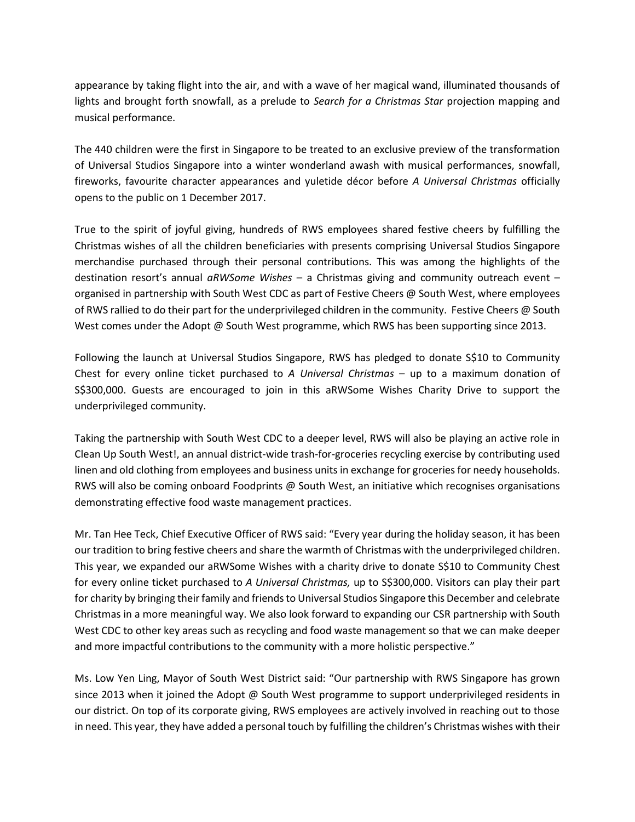appearance by taking flight into the air, and with a wave of her magical wand, illuminated thousands of lights and brought forth snowfall, as a prelude to *Search for a Christmas Star* projection mapping and musical performance.

The 440 children were the first in Singapore to be treated to an exclusive preview of the transformation of Universal Studios Singapore into a winter wonderland awash with musical performances, snowfall, fireworks, favourite character appearances and yuletide décor before *A Universal Christmas* officially opens to the public on 1 December 2017.

True to the spirit of joyful giving, hundreds of RWS employees shared festive cheers by fulfilling the Christmas wishes of all the children beneficiaries with presents comprising Universal Studios Singapore merchandise purchased through their personal contributions. This was among the highlights of the destination resort's annual *aRWSome Wishes* – a Christmas giving and community outreach event – organised in partnership with South West CDC as part of Festive Cheers @ South West, where employees of RWS rallied to do their part for the underprivileged children in the community. Festive Cheers @ South West comes under the Adopt @ South West programme, which RWS has been supporting since 2013.

Following the launch at Universal Studios Singapore, RWS has pledged to donate S\$10 to Community Chest for every online ticket purchased to *A Universal Christmas* – up to a maximum donation of S\$300,000. Guests are encouraged to join in this aRWSome Wishes Charity Drive to support the underprivileged community.

Taking the partnership with South West CDC to a deeper level, RWS will also be playing an active role in Clean Up South West!, an annual district-wide trash-for-groceries recycling exercise by contributing used linen and old clothing from employees and business units in exchange for groceries for needy households. RWS will also be coming onboard Foodprints @ South West, an initiative which recognises organisations demonstrating effective food waste management practices.

Mr. Tan Hee Teck, Chief Executive Officer of RWS said: "Every year during the holiday season, it has been our tradition to bring festive cheers and share the warmth of Christmas with the underprivileged children. This year, we expanded our aRWSome Wishes with a charity drive to donate S\$10 to Community Chest for every online ticket purchased to *A Universal Christmas,* up to S\$300,000. Visitors can play their part for charity by bringing their family and friends to Universal Studios Singapore this December and celebrate Christmas in a more meaningful way. We also look forward to expanding our CSR partnership with South West CDC to other key areas such as recycling and food waste management so that we can make deeper and more impactful contributions to the community with a more holistic perspective."

Ms. Low Yen Ling, Mayor of South West District said: "Our partnership with RWS Singapore has grown since 2013 when it joined the Adopt @ South West programme to support underprivileged residents in our district. On top of its corporate giving, RWS employees are actively involved in reaching out to those in need. This year, they have added a personal touch by fulfilling the children's Christmas wishes with their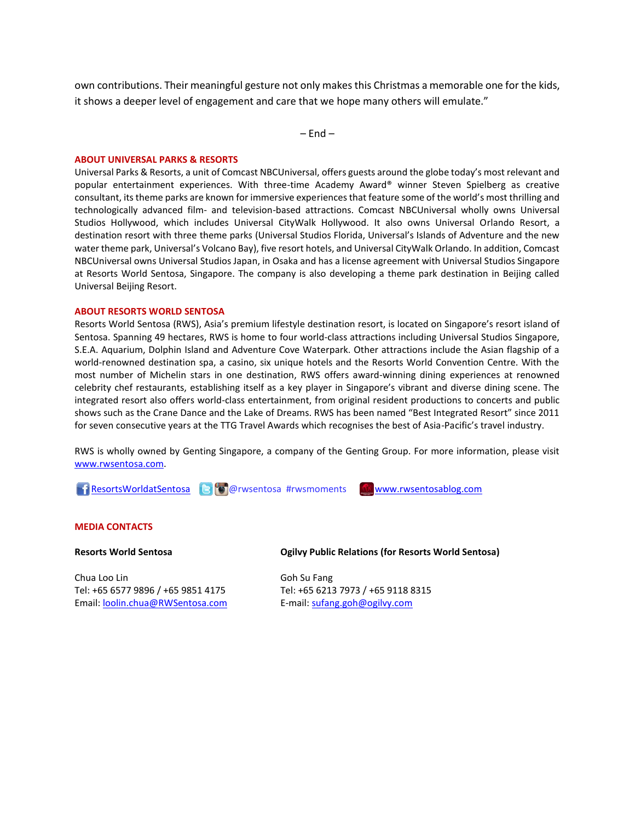own contributions. Their meaningful gesture not only makes this Christmas a memorable one for the kids, it shows a deeper level of engagement and care that we hope many others will emulate."

 $-$  End  $-$ 

#### **ABOUT UNIVERSAL PARKS & RESORTS**

Universal Parks & Resorts, a unit of Comcast NBCUniversal, offers guests around the globe today's most relevant and popular entertainment experiences. With three-time Academy Award® winner Steven Spielberg as creative consultant, its theme parks are known for immersive experiences that feature some of the world's most thrilling and technologically advanced film- and television-based attractions. Comcast NBCUniversal wholly owns Universal Studios Hollywood, which includes Universal CityWalk Hollywood. It also owns Universal Orlando Resort, a destination resort with three theme parks (Universal Studios Florida, Universal's Islands of Adventure and the new water theme park, Universal's Volcano Bay), five resort hotels, and Universal CityWalk Orlando. In addition, Comcast NBCUniversal owns Universal Studios Japan, in Osaka and has a license agreement with Universal Studios Singapore at Resorts World Sentosa, Singapore. The company is also developing a theme park destination in Beijing called Universal Beijing Resort.

#### **ABOUT RESORTS WORLD SENTOSA**

Resorts World Sentosa (RWS), Asia's premium lifestyle destination resort, is located on Singapore's resort island of Sentosa. Spanning 49 hectares, RWS is home to four world-class attractions including Universal Studios Singapore, S.E.A. Aquarium, Dolphin Island and Adventure Cove Waterpark. Other attractions include the Asian flagship of a world-renowned destination spa, a casino, six unique hotels and the Resorts World Convention Centre. With the most number of Michelin stars in one destination, RWS offers award-winning dining experiences at renowned celebrity chef restaurants, establishing itself as a key player in Singapore's vibrant and diverse dining scene. The integrated resort also offers world-class entertainment, from original resident productions to concerts and public shows such as the Crane Dance and the Lake of Dreams. RWS has been named "Best Integrated Resort" since 2011 for seven consecutive years at the TTG Travel Awards which recognises the best of Asia-Pacific's travel industry.

RWS is wholly owned by Genting Singapore, a company of the Genting Group. For more information, please visit [www.rwsentosa.com.](http://www.rwsentosa.com/)

[ResortsWorldatSentosa](https://www.facebook.com/ResortsWorldatSentosa) B @rwsentosa #rwsmoments [www.rwsentosablog.com](http://www.rwsentosablog.com/)

#### **MEDIA CONTACTS**

Chua Loo Lin Tel: +65 6577 9896 / +65 9851 4175 Email: [loolin.chua@RWSentosa.com](mailto:loolin.chua@RWSentosa.com)

**Resorts World Sentosa Ogilvy Public Relations (for Resorts World Sentosa)**

Goh Su Fang Tel: +65 6213 7973 / +65 9118 8315 E-mail[: sufang.goh@ogilvy.com](mailto:sufang.goh@ogilvy.com)